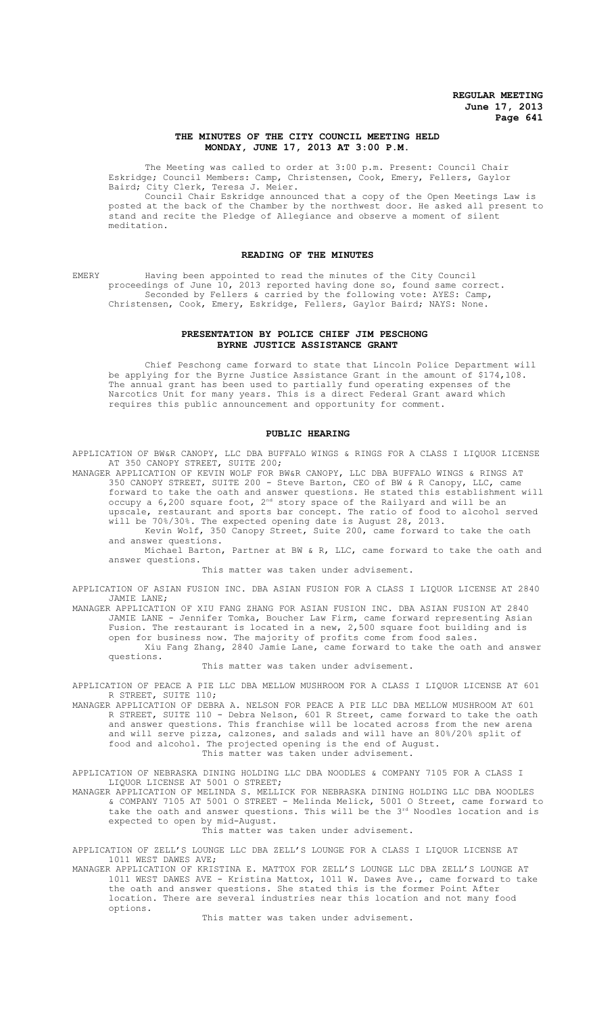# **THE MINUTES OF THE CITY COUNCIL MEETING HELD MONDAY, JUNE 17, 2013 AT 3:00 P.M.**

The Meeting was called to order at 3:00 p.m. Present: Council Chair Eskridge; Council Members: Camp, Christensen, Cook, Emery, Fellers, Gaylor Baird; City Clerk, Teresa J. Meier.

Council Chair Eskridge announced that a copy of the Open Meetings Law is posted at the back of the Chamber by the northwest door. He asked all present to stand and recite the Pledge of Allegiance and observe a moment of silent meditation.

## **READING OF THE MINUTES**

EMERY Having been appointed to read the minutes of the City Council proceedings of June 10, 2013 reported having done so, found same correct. Seconded by Fellers & carried by the following vote: AYES: Camp, Christensen, Cook, Emery, Eskridge, Fellers, Gaylor Baird; NAYS: None.

#### **PRESENTATION BY POLICE CHIEF JIM PESCHONG BYRNE JUSTICE ASSISTANCE GRANT**

Chief Peschong came forward to state that Lincoln Police Department will be applying for the Byrne Justice Assistance Grant in the amount of \$174,108. The annual grant has been used to partially fund operating expenses of the Narcotics Unit for many years. This is a direct Federal Grant award which requires this public announcement and opportunity for comment.

#### **PUBLIC HEARING**

APPLICATION OF BW&R CANOPY, LLC DBA BUFFALO WINGS & RINGS FOR A CLASS I LIQUOR LICENSE AT 350 CANOPY STREET, SUITE 200;

MANAGER APPLICATION OF KEVIN WOLF FOR BW&R CANOPY, LLC DBA BUFFALO WINGS & RINGS AT 350 CANOPY STREET, SUITE 200 - Steve Barton, CEO of BW & R Canopy, LLC, came forward to take the oath and answer questions. He stated this establishment will occupy a  $6,200$  square foot,  $2<sup>nd</sup>$  story space of the Railyard and will be an upscale, restaurant and sports bar concept. The ratio of food to alcohol served will be 70%/30%. The expected opening date is August 28, 2013.

Kevin Wolf, 350 Canopy Street, Suite 200, came forward to take the oath and answer questions.

Michael Barton, Partner at BW & R, LLC, came forward to take the oath and answer questions.

This matter was taken under advisement.

APPLICATION OF ASIAN FUSION INC. DBA ASIAN FUSION FOR A CLASS I LIQUOR LICENSE AT 2840 JAMIE LANE;

MANAGER APPLICATION OF XIU FANG ZHANG FOR ASIAN FUSION INC. DBA ASIAN FUSION AT 2840 JAMIE LANE - Jennifer Tomka, Boucher Law Firm, came forward representing Asian Fusion. The restaurant is located in a new, 2,500 square foot building and is open for business now. The majority of profits come from food sales.

Xiu Fang Zhang, 2840 Jamie Lane, came forward to take the oath and answer questions.

This matter was taken under advisement.

APPLICATION OF PEACE A PIE LLC DBA MELLOW MUSHROOM FOR A CLASS I LIQUOR LICENSE AT 601 R STREET, SUITE 110;

MANAGER APPLICATION OF DEBRA A. NELSON FOR PEACE A PIE LLC DBA MELLOW MUSHROOM AT 601 R STREET, SUITE 110 - Debra Nelson, 601 R Street, came forward to take the oath and answer questions. This franchise will be located across from the new arena and will serve pizza, calzones, and salads and will have an 80%/20% split of food and alcohol. The projected opening is the end of August. This matter was taken under advisement.

APPLICATION OF NEBRASKA DINING HOLDING LLC DBA NOODLES & COMPANY 7105 FOR A CLASS I LIQUOR LICENSE AT 5001 O STREET;

MANAGER APPLICATION OF MELINDA S. MELLICK FOR NEBRASKA DINING HOLDING LLC DBA NOODLES & COMPANY 7105 AT 5001 O STREET - Melinda Melick, 5001 O Street, came forward to take the oath and answer questions. This will be the 3<sup>rd</sup> Noodles location and is expected to open by mid-August.

This matter was taken under advisement.

APPLICATION OF ZELL'S LOUNGE LLC DBA ZELL'S LOUNGE FOR A CLASS I LIQUOR LICENSE AT 1011 WEST DAWES AVE;

MANAGER APPLICATION OF KRISTINA E. MATTOX FOR ZELL'S LOUNGE LLC DBA ZELL'S LOUNGE AT 1011 WEST DAWES AVE - Kristina Mattox, 1011 W. Dawes Ave., came forward to take the oath and answer questions. She stated this is the former Point After location. There are several industries near this location and not many food options.

This matter was taken under advisement.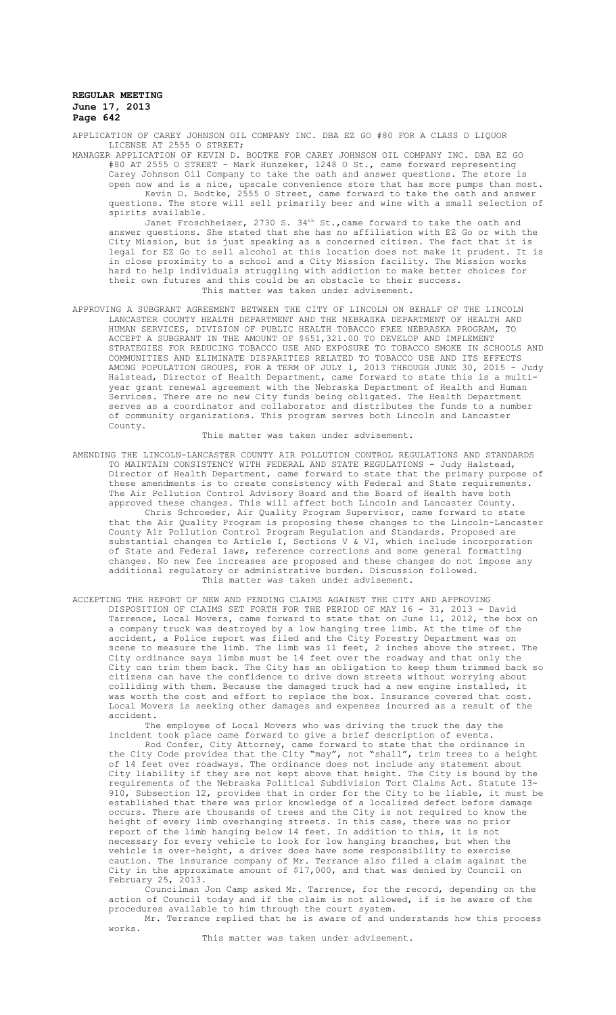APPLICATION OF CAREY JOHNSON OIL COMPANY INC. DBA EZ GO #80 FOR A CLASS D LIQUOR LICENSE AT 2555 O STREET;

MANAGER APPLICATION OF KEVIN D. BODTKE FOR CAREY JOHNSON OIL COMPANY INC. DBA EZ GO #80 AT 2555 O STREET - Mark Hunzeker, 1248 O St., came forward representing Carey Johnson Oil Company to take the oath and answer questions. The store is open now and is a nice, upscale convenience store that has more pumps than most. Kevin D. Bodtke, 2555 O Street, came forward to take the oath and answer questions. The store will sell primarily beer and wine with a small selection of spirits available.

Janet Froschheiser, 2730 S. 34th St., came forward to take the oath and answer questions. She stated that she has no affiliation with EZ Go or with the City Mission, but is just speaking as a concerned citizen. The fact that it is legal for EZ Go to sell alcohol at this location does not make it prudent. It is in close proximity to a school and a City Mission facility. The Mission works hard to help individuals struggling with addiction to make better choices for their own futures and this could be an obstacle to their success. This matter was taken under advisement.

APPROVING A SUBGRANT AGREEMENT BETWEEN THE CITY OF LINCOLN ON BEHALF OF THE LINCOLN LANCASTER COUNTY HEALTH DEPARTMENT AND THE NEBRASKA DEPARTMENT OF HEALTH AND HUMAN SERVICES, DIVISION OF PUBLIC HEALTH TOBACCO FREE NEBRASKA PROGRAM, TO ACCEPT A SUBGRANT IN THE AMOUNT OF \$651,321.00 TO DEVELOP AND IMPLEMENT STRATEGIES FOR REDUCING TOBACCO USE AND EXPOSURE TO TOBACCO SMOKE IN SCHOOLS AND COMMUNITIES AND ELIMINATE DISPARITIES RELATED TO TOBACCO USE AND ITS EFFECTS AMONG POPULATION GROUPS, FOR A TERM OF JULY 1, 2013 THROUGH JUNE 30, 2015 - Judy Halstead, Director of Health Department, came forward to state this is a multiyear grant renewal agreement with the Nebraska Department of Health and Human Services. There are no new City funds being obligated. The Health Department serves as a coordinator and collaborator and distributes the funds to a number of community organizations. This program serves both Lincoln and Lancaster County.

This matter was taken under advisement.

- AMENDING THE LINCOLN-LANCASTER COUNTY AIR POLLUTION CONTROL REGULATIONS AND STANDARDS TO MAINTAIN CONSISTENCY WITH FEDERAL AND STATE REGULATIONS - Judy Halstead, Director of Health Department, came forward to state that the primary purpose of these amendments is to create consistency with Federal and State requirements. The Air Pollution Control Advisory Board and the Board of Health have both approved these changes. This will affect both Lincoln and Lancaster County. Chris Schroeder, Air Quality Program Supervisor, came forward to state that the Air Quality Program is proposing these changes to the Lincoln-Lancaster County Air Pollution Control Program Regulation and Standards. Proposed are substantial changes to Article I, Sections V & VI, which include incorporation of State and Federal laws, reference corrections and some general formatting changes. No new fee increases are proposed and these changes do not impose any additional regulatory or administrative burden. Discussion followed. This matter was taken under advisement.
- ACCEPTING THE REPORT OF NEW AND PENDING CLAIMS AGAINST THE CITY AND APPROVING DISPOSITION OF CLAIMS SET FORTH FOR THE PERIOD OF MAY 16 - 31, 2013 - David Tarrence, Local Movers, came forward to state that on June 11, 2012, the box on a company truck was destroyed by a low hanging tree limb. At the time of the accident, a Police report was filed and the City Forestry Department was on scene to measure the limb. The limb was 11 feet, 2 inches above the street. The City ordinance says limbs must be 14 feet over the roadway and that only the City can trim them back. The City has an obligation to keep them trimmed back so citizens can have the confidence to drive down streets without worrying about colliding with them. Because the damaged truck had a new engine installed, it was worth the cost and effort to replace the box. Insurance covered that cost. Local Movers is seeking other damages and expenses incurred as a result of the accident.

The employee of Local Movers who was driving the truck the day the incident took place came forward to give a brief description of events.

Rod Confer, City Attorney, came forward to state that the ordinance in the City Code provides that the City "may", not "shall", trim trees to a height of 14 feet over roadways. The ordinance does not include any statement about City liability if they are not kept above that height. The City is bound by the requirements of the Nebraska Political Subdivision Tort Claims Act. Statute 13- 910, Subsection 12, provides that in order for the City to be liable, it must be established that there was prior knowledge of a localized defect before damage occurs. There are thousands of trees and the City is not required to know the height of every limb overhanging streets. In this case, there was no prior report of the limb hanging below 14 feet. In addition to this, it is not necessary for every vehicle to look for low hanging branches, but when the vehicle is over-height, a driver does have some responsibility to exercise caution. The insurance company of Mr. Terrance also filed a claim against the City in the approximate amount of \$17,000, and that was denied by Council on February 25, 2013.

Councilman Jon Camp asked Mr. Tarrence, for the record, depending on the action of Council today and if the claim is not allowed, if is he aware of the procedures available to him through the court system.

Mr. Terrance replied that he is aware of and understands how this process works.

This matter was taken under advisement.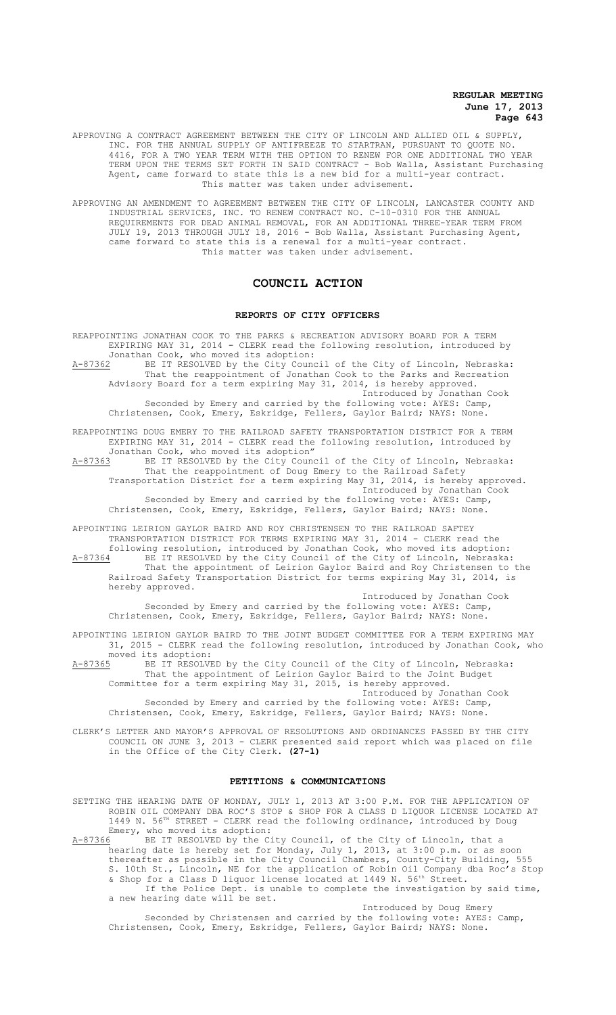- APPROVING A CONTRACT AGREEMENT BETWEEN THE CITY OF LINCOLN AND ALLIED OIL & SUPPLY, INC. FOR THE ANNUAL SUPPLY OF ANTIFREEZE TO STARTRAN, PURSUANT TO QUOTE NO. 4416, FOR A TWO YEAR TERM WITH THE OPTION TO RENEW FOR ONE ADDITIONAL TWO YEAR TERM UPON THE TERMS SET FORTH IN SAID CONTRACT - Bob Walla, Assistant Purchasing Agent, came forward to state this is a new bid for a multi-year contract. This matter was taken under advisement.
- APPROVING AN AMENDMENT TO AGREEMENT BETWEEN THE CITY OF LINCOLN, LANCASTER COUNTY AND INDUSTRIAL SERVICES, INC. TO RENEW CONTRACT NO. C-10-0310 FOR THE ANNUAL REQUIREMENTS FOR DEAD ANIMAL REMOVAL, FOR AN ADDITIONAL THREE-YEAR TERM FROM JULY 19, 2013 THROUGH JULY 18, 2016 - Bob Walla, Assistant Purchasing Agent, came forward to state this is a renewal for a multi-year contract. This matter was taken under advisement.

# **COUNCIL ACTION**

#### **REPORTS OF CITY OFFICERS**

REAPPOINTING JONATHAN COOK TO THE PARKS & RECREATION ADVISORY BOARD FOR A TERM EXPIRING MAY 31, 2014 - CLERK read the following resolution, introduced by Jonathan Cook, who moved its adoption:<br>A-87362 BE IT RESOLVED by the City Cound A-87362 BE IT RESOLVED by the City Council of the City of Lincoln, Nebraska: That the reappointment of Jonathan Cook to the Parks and Recreation Advisory Board for a term expiring May 31, 2014, is hereby approved.

Introduced by Jonathan Cook Seconded by Emery and carried by the following vote: AYES: Camp,

Christensen, Cook, Emery, Eskridge, Fellers, Gaylor Baird; NAYS: None.

REAPPOINTING DOUG EMERY TO THE RAILROAD SAFETY TRANSPORTATION DISTRICT FOR A TERM EXPIRING MAY 31, 2014 - CLERK read the following resolution, introduced by Jonathan Cook, who moved its adoption"

A-87363 BE IT RESOLVED by the City Council of the City of Lincoln, Nebraska: That the reappointment of Doug Emery to the Railroad Safety Transportation District for a term expiring May 31, 2014, is hereby approved.

Introduced by Jonathan Cook Seconded by Emery and carried by the following vote: AYES: Camp, Christensen, Cook, Emery, Eskridge, Fellers, Gaylor Baird; NAYS: None.

APPOINTING LEIRION GAYLOR BAIRD AND ROY CHRISTENSEN TO THE RAILROAD SAFTEY TRANSPORTATION DISTRICT FOR TERMS EXPIRING MAY 31, 2014 - CLERK read the following resolution, introduced by Jonathan Cook, who moved its adoption: A-87364 BE IT RESOLVED by the City Council of the City of Lincoln, Nebraska: That the appointment of Leirion Gaylor Baird and Roy Christensen to the

Railroad Safety Transportation District for terms expiring May 31, 2014, is hereby approved. Introduced by Jonathan Cook

Seconded by Emery and carried by the following vote: AYES: Camp, Christensen, Cook, Emery, Eskridge, Fellers, Gaylor Baird; NAYS: None.

APPOINTING LEIRION GAYLOR BAIRD TO THE JOINT BUDGET COMMITTEE FOR A TERM EXPIRING MAY 31, 2015 - CLERK read the following resolution, introduced by Jonathan Cook, who

moved its adoption:<br>A-87365 BE IT RESOLVE BE IT RESOLVED by the City Council of the City of Lincoln, Nebraska: That the appointment of Leirion Gaylor Baird to the Joint Budget Committee for a term expiring May 31, 2015, is hereby approved.

Introduced by Jonathan Cook Seconded by Emery and carried by the following vote: AYES: Camp, Christensen, Cook, Emery, Eskridge, Fellers, Gaylor Baird; NAYS: None.

CLERK'S LETTER AND MAYOR'S APPROVAL OF RESOLUTIONS AND ORDINANCES PASSED BY THE CITY COUNCIL ON JUNE 3, 2013 - CLERK presented said report which was placed on file in the Office of the City Clerk. **(27-1)**

#### **PETITIONS & COMMUNICATIONS**

SETTING THE HEARING DATE OF MONDAY, JULY 1, 2013 AT 3:00 P.M. FOR THE APPLICATION OF ROBIN OIL COMPANY DBA ROC'S STOP & SHOP FOR A CLASS D LIQUOR LICENSE LOCATED AT 1449 N. 56<sup>TH</sup> STREET - CLERK read the following ordinance, introduced by Doug Emery, who moved its adoption: A-87366 BE IT RESOLVED by the City Council, of the City of Lincoln, that a

hearing date is hereby set for Monday, July 1, 2013, at 3:00 p.m. or as soon thereafter as possible in the City Council Chambers, County-City Building, 555 S. 10th St., Lincoln, NE for the application of Robin Oil Company dba Roc's Stop & Shop for a Class D liquor license located at 1449 N. 56th Street. If the Police Dept. is unable to complete the investigation by said time, a new hearing date will be set.

Introduced by Doug Emery Seconded by Christensen and carried by the following vote: AYES: Camp, Christensen, Cook, Emery, Eskridge, Fellers, Gaylor Baird; NAYS: None.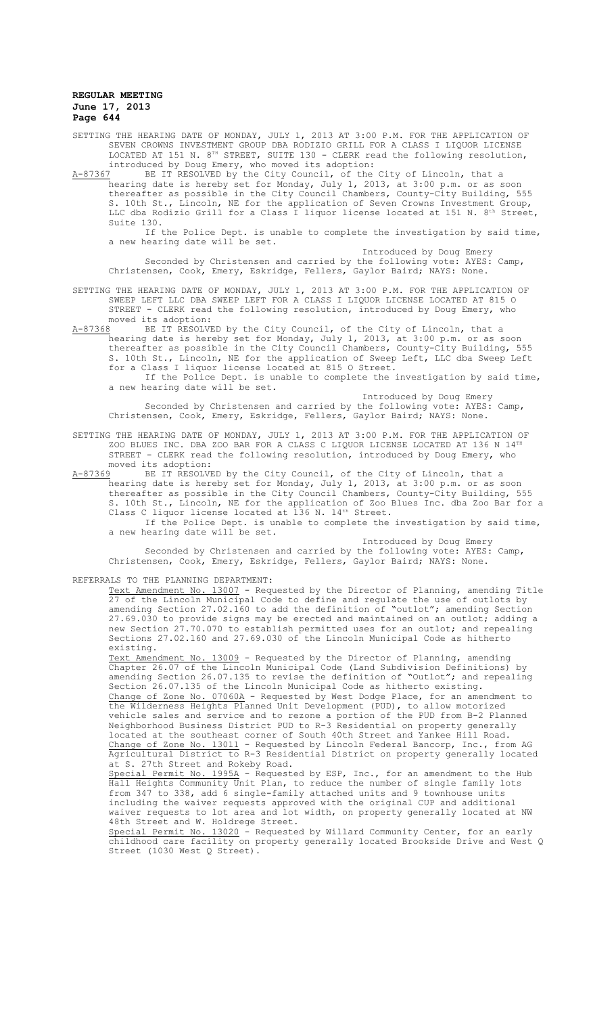SETTING THE HEARING DATE OF MONDAY, JULY 1, 2013 AT 3:00 P.M. FOR THE APPLICATION OF SEVEN CROWNS INVESTMENT GROUP DBA RODIZIO GRILL FOR A CLASS I LIQUOR LICENSE LOCATED AT 151 N. 8TH STREET, SUITE 130 - CLERK read the following resolution, introduced by Doug Emery, who moved its adoption:<br>A-87367 BE IT RESOLVED by the City Council, of the

A-87367 BE IT RESOLVED by the City Council, of the City of Lincoln, that a hearing date is hereby set for Monday, July 1, 2013, at 3:00 p.m. or as soon thereafter as possible in the City Council Chambers, County-City Building, 555 S. 10th St., Lincoln, NE for the application of Seven Crowns Investment Group, LLC dba Rodizio Grill for a Class I liquor license located at 151 N. 8th Street, Suite 130.

If the Police Dept. is unable to complete the investigation by said time, a new hearing date will be set.

Introduced by Doug Emery Seconded by Christensen and carried by the following vote: AYES: Camp, Christensen, Cook, Emery, Eskridge, Fellers, Gaylor Baird; NAYS: None.

SETTING THE HEARING DATE OF MONDAY, JULY 1, 2013 AT 3:00 P.M. FOR THE APPLICATION OF SWEEP LEFT LLC DBA SWEEP LEFT FOR A CLASS I LIQUOR LICENSE LOCATED AT 815 O STREET - CLERK read the following resolution, introduced by Doug Emery, who moved its adoption:

A-87368 BE IT RESOLVED by the City Council, of the City of Lincoln, that a hearing date is hereby set for Monday, July 1, 2013, at 3:00 p.m. or as soon thereafter as possible in the City Council Chambers, County-City Building, 555 S. 10th St., Lincoln, NE for the application of Sweep Left, LLC dba Sweep Left for a Class I liquor license located at 815 O Street.

If the Police Dept. is unable to complete the investigation by said time, a new hearing date will be set.

Introduced by Doug Emery Seconded by Christensen and carried by the following vote: AYES: Camp, Christensen, Cook, Emery, Eskridge, Fellers, Gaylor Baird; NAYS: None.

SETTING THE HEARING DATE OF MONDAY, JULY 1, 2013 AT 3:00 P.M. FOR THE APPLICATION OF ZOO BLUES INC. DBA ZOO BAR FOR A CLASS C LIQUOR LICENSE LOCATED AT 136 N 14TH STREET - CLERK read the following resolution, introduced by Doug Emery, who

moved its adoption:<br>A-87369 BE IT RESOLVI BE IT RESOLVED by the City Council, of the City of Lincoln, that a hearing date is hereby set for Monday, July 1, 2013, at 3:00 p.m. or as soon thereafter as possible in the City Council Chambers, County-City Building, 555 S. 10th St., Lincoln, NE for the application of Zoo Blues Inc. dba Zoo Bar for a Class C liquor license located at 136 N. 14<sup>th</sup> Street.

If the Police Dept. is unable to complete the investigation by said time, a new hearing date will be set.

Introduced by Doug Emery Seconded by Christensen and carried by the following vote: AYES: Camp, Christensen, Cook, Emery, Eskridge, Fellers, Gaylor Baird; NAYS: None.

REFERRALS TO THE PLANNING DEPARTMENT:

Text Amendment No. 13007 - Requested by the Director of Planning, amending Title 27 of the Lincoln Municipal Code to define and regulate the use of outlots by amending Section 27.02.160 to add the definition of "outlot"; amending Section 27.69.030 to provide signs may be erected and maintained on an outlot; adding a new Section 27.70.070 to establish permitted uses for an outlot; and repealing Sections 27.02.160 and 27.69.030 of the Lincoln Municipal Code as hitherto existing.

Text Amendment No. 13009 - Requested by the Director of Planning, amending Chapter 26.07 of the Lincoln Municipal Code (Land Subdivision Definitions) by amending Section 26.07.135 to revise the definition of "Outlot"; and repealing Section 26.07.135 of the Lincoln Municipal Code as hitherto existing. Change of Zone No. 07060A - Requested by West Dodge Place, for an amendment to the Wilderness Heights Planned Unit Development (PUD), to allow motorized vehicle sales and service and to rezone a portion of the PUD from B-2 Planned Neighborhood Business District PUD to R-3 Residential on property generally located at the southeast corner of South 40th Street and Yankee Hill Road. Change of Zone No. 13011 - Requested by Lincoln Federal Bancorp, Inc., from AG Agricultural District to R-3 Residential District on property generally located S. 27th Street and Rokeby Road.

Special Permit No. 1995A - Requested by ESP, Inc., for an amendment to the Hub Hall Heights Community Unit Plan, to reduce the number of single family lots from 347 to 338, add 6 single-family attached units and 9 townhouse units including the waiver requests approved with the original CUP and additional waiver requests to lot area and lot width, on property generally located at NW 48th Street and W. Holdrege Street.

Special Permit No. 13020 - Requested by Willard Community Center, for an early childhood care facility on property generally located Brookside Drive and West Q Street (1030 West Q Street).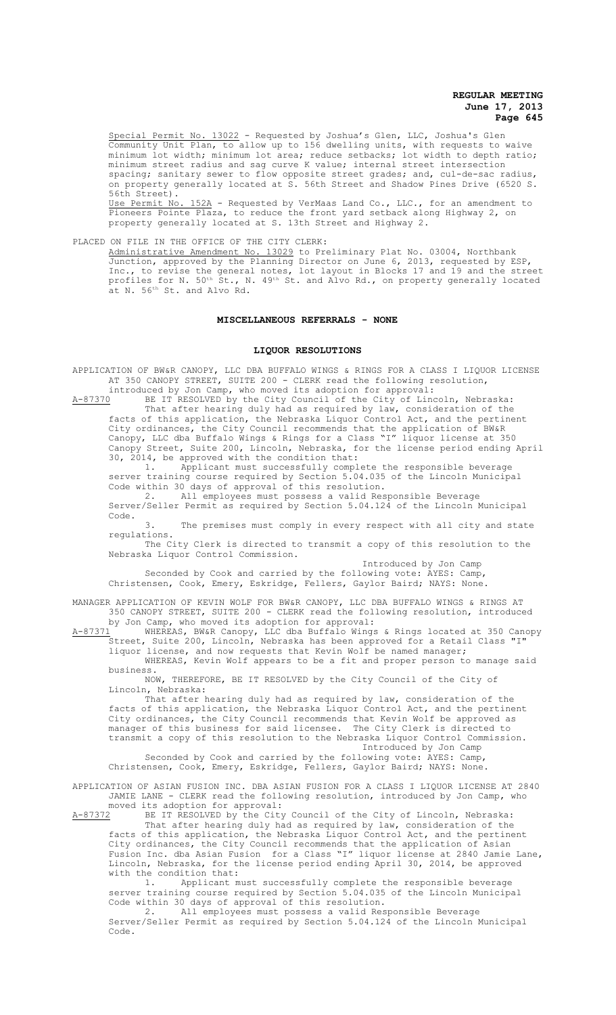Special Permit No. 13022 - Requested by Joshua's Glen, LLC, Joshua's Glen Community Unit Plan, to allow up to 156 dwelling units, with requests to waive minimum lot width; minimum lot area; reduce setbacks; lot width to depth ratio; minimum street radius and sag curve K value; internal street intersection spacing; sanitary sewer to flow opposite street grades; and, cul-de-sac radius, on property generally located at S. 56th Street and Shadow Pines Drive (6520 S. 56th Street).

Use Permit No. 152A - Requested by VerMaas Land Co., LLC., for an amendment to Pioneers Pointe Plaza, to reduce the front yard setback along Highway 2, on property generally located at S. 13th Street and Highway 2.

PLACED ON FILE IN THE OFFICE OF THE CITY CLERK:

Administrative Amendment No. 13029 to Preliminary Plat No. 03004, Northbank Junction, approved by the Planning Director on June 6, 2013, requested by ESP, Inc., to revise the general notes, lot layout in Blocks 17 and 19 and the street profiles for N.  $50^{\rm th}$  St., N.  $49^{\rm th}$  St. and Alvo Rd., on property generally located at N.  $56^{\text{th}}$  St. and Alvo Rd.

## **MISCELLANEOUS REFERRALS - NONE**

#### **LIQUOR RESOLUTIONS**

APPLICATION OF BW&R CANOPY, LLC DBA BUFFALO WINGS & RINGS FOR A CLASS I LIQUOR LICENSE AT 350 CANOPY STREET, SUITE 200 - CLERK read the following resolution,

introduced by Jon Camp, who moved its adoption for approval:<br>A-87370 BE IT RESOLVED by the City Council of the City of Linc BE IT RESOLVED by the City Council of the City of Lincoln, Nebraska: That after hearing duly had as required by law, consideration of the facts of this application, the Nebraska Liquor Control Act, and the pertinent City ordinances, the City Council recommends that the application of BW&R

Canopy, LLC dba Buffalo Wings & Rings for a Class "I" liquor license at 350 Canopy Street, Suite 200, Lincoln, Nebraska, for the license period ending April 30, 2014, be approved with the condition that:

1. Applicant must successfully complete the responsible beverage server training course required by Section 5.04.035 of the Lincoln Municipal Code within 30 days of approval of this resolution.

2. All employees must possess a valid Responsible Beverage Server/Seller Permit as required by Section 5.04.124 of the Lincoln Municipal Code.

The premises must comply in every respect with all city and state regulations.

The City Clerk is directed to transmit a copy of this resolution to the Nebraska Liquor Control Commission.

Introduced by Jon Camp Seconded by Cook and carried by the following vote: AYES: Camp, Christensen, Cook, Emery, Eskridge, Fellers, Gaylor Baird; NAYS: None.

MANAGER APPLICATION OF KEVIN WOLF FOR BW&R CANOPY, LLC DBA BUFFALO WINGS & RINGS AT 350 CANOPY STREET, SUITE 200 - CLERK read the following resolution, introduced

by Jon Camp, who moved its adoption for approval:<br>A-87371 WHEREAS, BW&R Canopy, LLC dba Buffalo Wings A-87371 WHEREAS, BW&R Canopy, LLC dba Buffalo Wings & Rings located at 350 Canopy Street, Suite 200, Lincoln, Nebraska has been approved for a Retail Class "I" liquor license, and now requests that Kevin Wolf be named manager;

WHEREAS, Kevin Wolf appears to be a fit and proper person to manage said business.

NOW, THEREFORE, BE IT RESOLVED by the City Council of the City of Lincoln, Nebraska:

That after hearing duly had as required by law, consideration of the facts of this application, the Nebraska Liquor Control Act, and the pertinent City ordinances, the City Council recommends that Kevin Wolf be approved as manager of this business for said licensee. The City Clerk is directed to transmit a copy of this resolution to the Nebraska Liquor Control Commission. Introduced by Jon Camp

Seconded by Cook and carried by the following vote: AYES: Camp, Christensen, Cook, Emery, Eskridge, Fellers, Gaylor Baird; NAYS: None.

APPLICATION OF ASIAN FUSION INC. DBA ASIAN FUSION FOR A CLASS I LIQUOR LICENSE AT 2840 JAMIE LANE - CLERK read the following resolution, introduced by Jon Camp, who moved its adoption for approval:

A-87372 BE IT RESOLVED by the City Council of the City of Lincoln, Nebraska: That after hearing duly had as required by law, consideration of the facts of this application, the Nebraska Liquor Control Act, and the pertinent City ordinances, the City Council recommends that the application of Asian Fusion Inc. dba Asian Fusion for a Class "I" liquor license at 2840 Jamie Lane, Lincoln, Nebraska, for the license period ending April 30, 2014, be approved with the condition that:<br> $1.$  Applicant m

Applicant must successfully complete the responsible beverage server training course required by Section 5.04.035 of the Lincoln Municipal Code within 30 days of approval of this resolution.

2. All employees must possess a valid Responsible Beverage Server/Seller Permit as required by Section 5.04.124 of the Lincoln Municipal Code.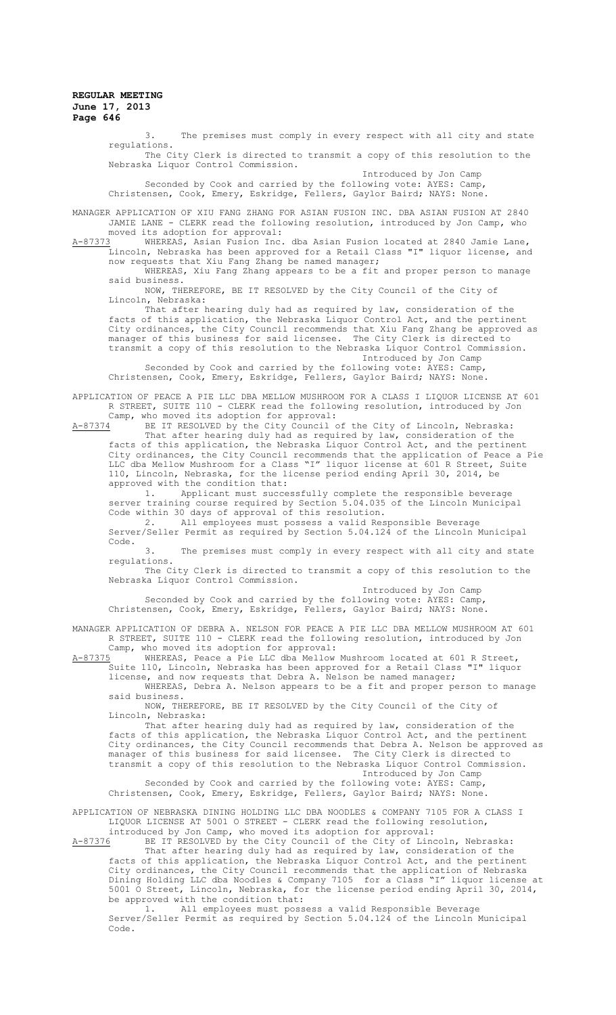3. The premises must comply in every respect with all city and state regulations.

The City Clerk is directed to transmit a copy of this resolution to the Nebraska Liquor Control Commission.

Introduced by Jon Camp Seconded by Cook and carried by the following vote: AYES: Camp, Christensen, Cook, Emery, Eskridge, Fellers, Gaylor Baird; NAYS: None.

MANAGER APPLICATION OF XIU FANG ZHANG FOR ASIAN FUSION INC. DBA ASIAN FUSION AT 2840 JAMIE LANE - CLERK read the following resolution, introduced by Jon Camp, who

moved its adoption for approval:<br>A-87373 WHEREAS, Asian Fusion Inc. A-87373 WHEREAS, Asian Fusion Inc. dba Asian Fusion located at 2840 Jamie Lane, Lincoln, Nebraska has been approved for a Retail Class "I" liquor license, and now requests that Xiu Fang Zhang be named manager;

WHEREAS, Xiu Fang Zhang appears to be a fit and proper person to manage said business.

NOW, THEREFORE, BE IT RESOLVED by the City Council of the City of Lincoln, Nebraska:

That after hearing duly had as required by law, consideration of the facts of this application, the Nebraska Liquor Control Act, and the pertinent City ordinances, the City Council recommends that Xiu Fang Zhang be approved as manager of this business for said licensee. The City Clerk is directed to transmit a copy of this resolution to the Nebraska Liquor Control Commission.

Introduced by Jon Camp

Seconded by Cook and carried by the following vote: AYES: Camp, Christensen, Cook, Emery, Eskridge, Fellers, Gaylor Baird; NAYS: None.

APPLICATION OF PEACE A PIE LLC DBA MELLOW MUSHROOM FOR A CLASS I LIQUOR LICENSE AT 601 R STREET, SUITE 110 - CLERK read the following resolution, introduced by Jon Camp, who moved its adoption for approval:<br>A-87374 BE IT RESOLVED by the City Council c

BE IT RESOLVED by the City Council of the City of Lincoln, Nebraska: That after hearing duly had as required by law, consideration of the facts of this application, the Nebraska Liquor Control Act, and the pertinent City ordinances, the City Council recommends that the application of Peace a Pie LLC dba Mellow Mushroom for a Class "I" liquor license at 601 R Street, Suite 110, Lincoln, Nebraska, for the license period ending April 30, 2014, be approved with the condition that:

1. Applicant must successfully complete the responsible beverage server training course required by Section 5.04.035 of the Lincoln Municipal Code within 30 days of approval of this resolution.

2. All employees must possess a valid Responsible Beverage Server/Seller Permit as required by Section 5.04.124 of the Lincoln Municipal Code.

3. The premises must comply in every respect with all city and state regulations.

The City Clerk is directed to transmit a copy of this resolution to the Nebraska Liquor Control Commission.

Introduced by Jon Camp

Seconded by Cook and carried by the following vote: AYES: Camp, Christensen, Cook, Emery, Eskridge, Fellers, Gaylor Baird; NAYS: None.

MANAGER APPLICATION OF DEBRA A. NELSON FOR PEACE A PIE LLC DBA MELLOW MUSHROOM AT 601 R STREET, SUITE 110 - CLERK read the following resolution, introduced by Jon

Camp, who moved its adoption for approval:<br>A-87375 WHEREAS, Peace a Pie LLC dba Mellow A-87375 WHEREAS, Peace a Pie LLC dba Mellow Mushroom located at 601 R Street, Suite 110, Lincoln, Nebraska has been approved for a Retail Class "I" liquor license, and now requests that Debra A. Nelson be named manager;

WHEREAS, Debra A. Nelson appears to be a fit and proper person to manage said business.

NOW, THEREFORE, BE IT RESOLVED by the City Council of the City of Lincoln, Nebraska:

That after hearing duly had as required by law, consideration of the facts of this application, the Nebraska Liquor Control Act, and the pertinent City ordinances, the City Council recommends that Debra A. Nelson be approved as manager of this business for said licensee. The City Clerk is directed to transmit a copy of this resolution to the Nebraska Liquor Control Commission. Introduced by Jon Camp

Seconded by Cook and carried by the following vote: AYES: Camp, Christensen, Cook, Emery, Eskridge, Fellers, Gaylor Baird; NAYS: None.

APPLICATION OF NEBRASKA DINING HOLDING LLC DBA NOODLES & COMPANY 7105 FOR A CLASS I LIQUOR LICENSE AT 5001 O STREET - CLERK read the following resolution,

introduced by Jon Camp, who moved its adoption for approval:<br>A-87376 BE IT RESOLVED by the City Council of the City of Linc BE IT RESOLVED by the City Council of the City of Lincoln, Nebraska:

That after hearing duly had as required by law, consideration of the facts of this application, the Nebraska Liquor Control Act, and the pertinent City ordinances, the City Council recommends that the application of Nebraska Dining Holding LLC dba Noodles & Company 7105 for a Class "I" liquor license at 5001 O Street, Lincoln, Nebraska, for the license period ending April 30, 2014, be approved with the condition that:

1. All employees must possess a valid Responsible Beverage Server/Seller Permit as required by Section 5.04.124 of the Lincoln Municipal Code.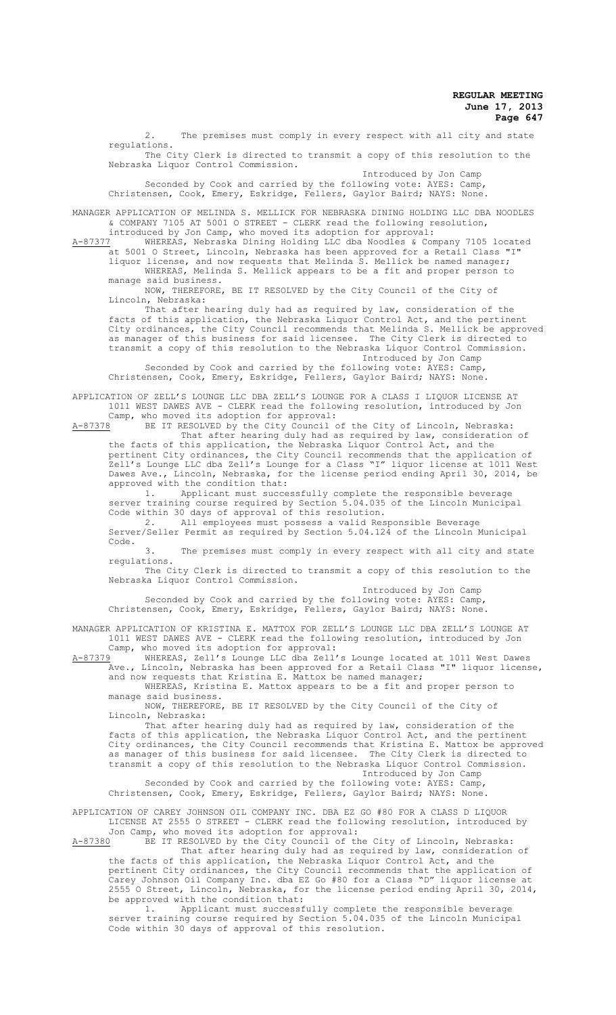2. The premises must comply in every respect with all city and state regulations.

The City Clerk is directed to transmit a copy of this resolution to the Nebraska Liquor Control Commission.

Introduced by Jon Camp Seconded by Cook and carried by the following vote: AYES: Camp, Christensen, Cook, Emery, Eskridge, Fellers, Gaylor Baird; NAYS: None.

MANAGER APPLICATION OF MELINDA S. MELLICK FOR NEBRASKA DINING HOLDING LLC DBA NOODLES & COMPANY 7105 AT 5001 O STREET - CLERK read the following resolution, introduced by Jon Camp, who moved its adoption for approval:

A-87377 WHEREAS, Nebraska Dining Holding LLC dba Noodles & Company 7105 located at 5001 O Street, Lincoln, Nebraska has been approved for a Retail Class "I" liquor license, and now requests that Melinda S. Mellick be named manager; WHEREAS, Melinda S. Mellick appears to be a fit and proper person to manage said business.

NOW, THEREFORE, BE IT RESOLVED by the City Council of the City of Lincoln, Nebraska:

That after hearing duly had as required by law, consideration of the facts of this application, the Nebraska Liquor Control Act, and the pertinent City ordinances, the City Council recommends that Melinda S. Mellick be approved as manager of this business for said licensee. The City Clerk is directed to transmit a copy of this resolution to the Nebraska Liquor Control Commission.

Introduced by Jon Camp

Seconded by Cook and carried by the following vote: AYES: Camp, Christensen, Cook, Emery, Eskridge, Fellers, Gaylor Baird; NAYS: None.

APPLICATION OF ZELL'S LOUNGE LLC DBA ZELL'S LOUNGE FOR A CLASS I LIQUOR LICENSE AT 1011 WEST DAWES AVE - CLERK read the following resolution, introduced by Jon Camp, who moved its adoption for approval:<br>A-87378 BE IT RESOLVED by the City Council c

A-87378 BE IT RESOLVED by the City Council of the City of Lincoln, Nebraska: That after hearing duly had as required by law, consideration of the facts of this application, the Nebraska Liquor Control Act, and the pertinent City ordinances, the City Council recommends that the application of Zell's Lounge LLC dba Zell's Lounge for a Class "I" liquor license at 1011 West Dawes Ave., Lincoln, Nebraska, for the license period ending April 30, 2014, be approved with the condition that:

1. Applicant must successfully complete the responsible beverage server training course required by Section 5.04.035 of the Lincoln Municipal Code within 30 days of approval of this resolution.

2. All employees must possess a valid Responsible Beverage Server/Seller Permit as required by Section 5.04.124 of the Lincoln Municipal Code.

3. The premises must comply in every respect with all city and state regulations.

The City Clerk is directed to transmit a copy of this resolution to the Nebraska Liquor Control Commission.

Introduced by Jon Camp

Seconded by Cook and carried by the following vote: AYES: Camp, Christensen, Cook, Emery, Eskridge, Fellers, Gaylor Baird; NAYS: None.

MANAGER APPLICATION OF KRISTINA E. MATTOX FOR ZELL'S LOUNGE LLC DBA ZELL'S LOUNGE AT 1011 WEST DAWES AVE - CLERK read the following resolution, introduced by Jon Camp, who moved its adoption for approval:

A-87379 WHEREAS, Zell's Lounge LLC dba Zell's Lounge located at 1011 West Dawes Ave., Lincoln, Nebraska has been approved for a Retail Class "I" liquor license, and now requests that Kristina E. Mattox be named manager;

WHEREAS, Kristina E. Mattox appears to be a fit and proper person to manage said business.

NOW, THEREFORE, BE IT RESOLVED by the City Council of the City of Lincoln, Nebraska:

That after hearing duly had as required by law, consideration of the facts of this application, the Nebraska Liquor Control Act, and the pertinent City ordinances, the City Council recommends that Kristina E. Mattox be approved as manager of this business for said licensee. The City Clerk is directed to transmit a copy of this resolution to the Nebraska Liquor Control Commission. Introduced by Jon Camp

Seconded by Cook and carried by the following vote: AYES: Camp, Christensen, Cook, Emery, Eskridge, Fellers, Gaylor Baird; NAYS: None.

APPLICATION OF CAREY JOHNSON OIL COMPANY INC. DBA EZ GO #80 FOR A CLASS D LIQUOR LICENSE AT 2555 O STREET - CLERK read the following resolution, introduced by

Jon Camp, who moved its adoption for approval:<br>A-87380 BE IT RESOLVED by the City Council of the A-87380 BE IT RESOLVED by the City Council of the City of Lincoln, Nebraska: That after hearing duly had as required by law, consideration of

the facts of this application, the Nebraska Liquor Control Act, and the pertinent City ordinances, the City Council recommends that the application of Carey Johnson Oil Company Inc. dba EZ Go #80 for a Class "D" liquor license at 2555 O Street, Lincoln, Nebraska, for the license period ending April 30, 2014, be approved with the condition that:

1. Applicant must successfully complete the responsible beverage server training course required by Section 5.04.035 of the Lincoln Municipal Code within 30 days of approval of this resolution.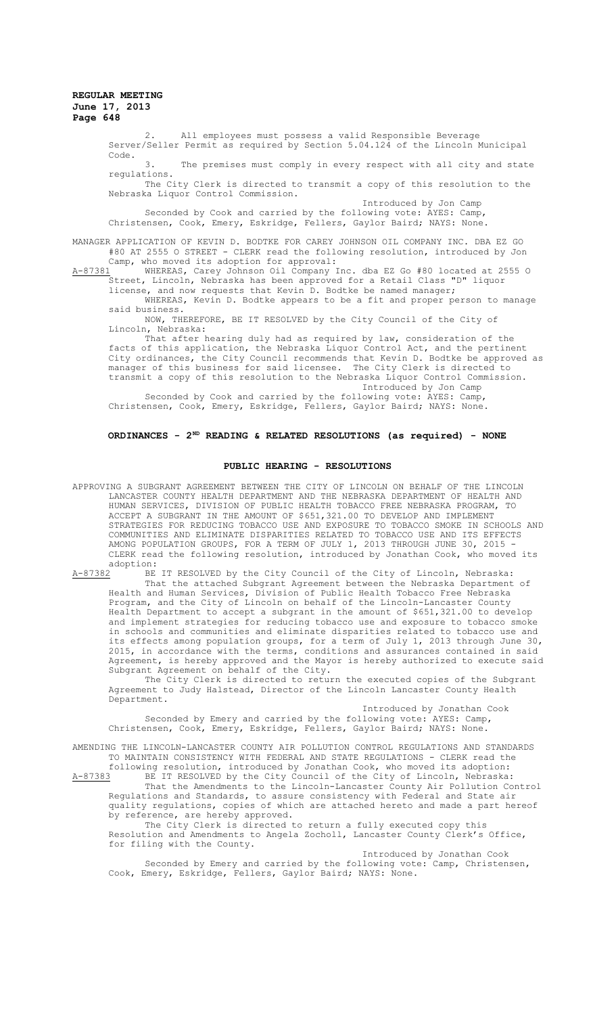All employees must possess a valid Responsible Beverage Server/Seller Permit as required by Section 5.04.124 of the Lincoln Municipal Code.

3. The premises must comply in every respect with all city and state regulations.

The City Clerk is directed to transmit a copy of this resolution to the Nebraska Liquor Control Commission.

Introduced by Jon Camp Seconded by Cook and carried by the following vote: AYES: Camp, Christensen, Cook, Emery, Eskridge, Fellers, Gaylor Baird; NAYS: None.

MANAGER APPLICATION OF KEVIN D. BODTKE FOR CAREY JOHNSON OIL COMPANY INC. DBA EZ GO #80 AT 2555 O STREET - CLERK read the following resolution, introduced by Jon Camp, who moved its adoption for approval:

A-87381 WHEREAS, Carey Johnson Oil Company Inc. dba EZ Go #80 located at 2555 O Street, Lincoln, Nebraska has been approved for a Retail Class "D" liquor license, and now requests that Kevin D. Bodtke be named manager;

WHEREAS, Kevin D. Bodtke appears to be a fit and proper person to manage said business.

NOW, THEREFORE, BE IT RESOLVED by the City Council of the City of Lincoln, Nebraska:

That after hearing duly had as required by law, consideration of the facts of this application, the Nebraska Liquor Control Act, and the pertinent City ordinances, the City Council recommends that Kevin D. Bodtke be approved as manager of this business for said licensee. The City Clerk is directed to transmit a copy of this resolution to the Nebraska Liquor Control Commission. Introduced by Jon Camp

Seconded by Cook and carried by the following vote: AYES: Camp, Christensen, Cook, Emery, Eskridge, Fellers, Gaylor Baird; NAYS: None.

#### **ORDINANCES - 2ND READING & RELATED RESOLUTIONS (as required) - NONE**

#### **PUBLIC HEARING - RESOLUTIONS**

APPROVING A SUBGRANT AGREEMENT BETWEEN THE CITY OF LINCOLN ON BEHALF OF THE LINCOLN LANCASTER COUNTY HEALTH DEPARTMENT AND THE NEBRASKA DEPARTMENT OF HEALTH AND HUMAN SERVICES, DIVISION OF PUBLIC HEALTH TOBACCO FREE NEBRASKA PROGRAM, TO ACCEPT A SUBGRANT IN THE AMOUNT OF \$651,321.00 TO DEVELOP AND IMPLEMENT STRATEGIES FOR REDUCING TOBACCO USE AND EXPOSURE TO TOBACCO SMOKE IN SCHOOLS AND COMMUNITIES AND ELIMINATE DISPARITIES RELATED TO TOBACCO USE AND ITS EFFECTS AMONG POPULATION GROUPS, FOR A TERM OF JULY 1, 2013 THROUGH JUNE 30, 2015 -CLERK read the following resolution, introduced by Jonathan Cook, who moved its adoption:<br><u>A-87382</u> BE

BE IT RESOLVED by the City Council of the City of Lincoln, Nebraska: That the attached Subgrant Agreement between the Nebraska Department of Health and Human Services, Division of Public Health Tobacco Free Nebraska Program, and the City of Lincoln on behalf of the Lincoln-Lancaster County Health Department to accept a subgrant in the amount of \$651,321.00 to develop and implement strategies for reducing tobacco use and exposure to tobacco smoke in schools and communities and eliminate disparities related to tobacco use and its effects among population groups, for a term of July 1, 2013 through June 30, 2015, in accordance with the terms, conditions and assurances contained in said Agreement, is hereby approved and the Mayor is hereby authorized to execute said Subgrant Agreement on behalf of the City.

The City Clerk is directed to return the executed copies of the Subgrant Agreement to Judy Halstead, Director of the Lincoln Lancaster County Health Department.

Introduced by Jonathan Cook Seconded by Emery and carried by the following vote: AYES: Camp, Christensen, Cook, Emery, Eskridge, Fellers, Gaylor Baird; NAYS: None.

AMENDING THE LINCOLN-LANCASTER COUNTY AIR POLLUTION CONTROL REGULATIONS AND STANDARDS TO MAINTAIN CONSISTENCY WITH FEDERAL AND STATE REGULATIONS - CLERK read the

following resolution, introduced by Jonathan Cook, who moved its adoption: A-87383 BE IT RESOLVED by the City Council of the City of Lincoln, Nebraska:

That the Amendments to the Lincoln-Lancaster County Air Pollution Control Regulations and Standards, to assure consistency with Federal and State air quality regulations, copies of which are attached hereto and made a part hereof by reference, are hereby approved.

The City Clerk is directed to return a fully executed copy this Resolution and Amendments to Angela Zocholl, Lancaster County Clerk's Office, for filing with the County.

Introduced by Jonathan Cook Seconded by Emery and carried by the following vote: Camp, Christensen, Cook, Emery, Eskridge, Fellers, Gaylor Baird; NAYS: None.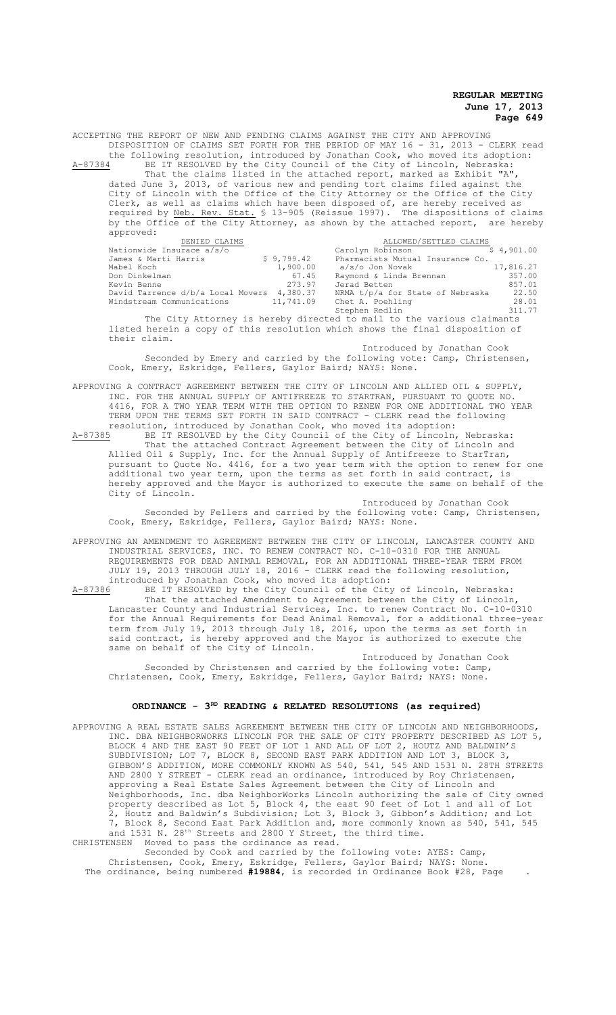ACCEPTING THE REPORT OF NEW AND PENDING CLAIMS AGAINST THE CITY AND APPROVING DISPOSITION OF CLAIMS SET FORTH FOR THE PERIOD OF MAY 16 - 31, 2013 - CLERK read

the following resolution, introduced by Jonathan Cook, who moved its adoption:<br>A-87384 BE IT RESOLVED by the City Council of the City of Lincoln, Nebraska: BE IT RESOLVED by the City Council of the City of Lincoln, Nebraska: That the claims listed in the attached report, marked as Exhibit "A", dated June 3, 2013, of various new and pending tort claims filed against the City of Lincoln with the Office of the City Attorney or the Office of the City Clerk, as well as claims which have been disposed of, are hereby received as required by Neb. Rev. Stat. § 13-905 (Reissue 1997). The dispositions of claims the Office of the City Attorney, as shown by the attached report, are hereby approved:

| DENIED CLAIMS                              |            | ALLOWED/SETTLED CLAIMS           |            |
|--------------------------------------------|------------|----------------------------------|------------|
| Nationwide Insurace a/s/o                  |            | Carolyn Robinson                 | \$4,901.00 |
| James & Marti Harris                       | \$9,799.42 | Pharmacists Mutual Insurance Co. |            |
| Mabel Koch                                 | 1,900.00   | a/s/o Jon Novak                  | 17,816.27  |
| Don Dinkelman                              | 67.45      | Raymond & Linda Brennan          | 357.00     |
| Kevin Benne                                | 273.97     | Jerad Betten                     | 857.01     |
| David Tarrence d/b/a Local Movers 4,380.37 |            | NRMA t/p/a for State of Nebraska | 22.50      |
| Windstream Communications                  | 11,741.09  | Chet A. Poehling                 | 28.01      |
|                                            |            | Stephen Redlin                   | 311.77     |

The City Attorney is hereby directed to mail to the various claimants listed herein a copy of this resolution which shows the final disposition of their claim.

Introduced by Jonathan Cook Seconded by Emery and carried by the following vote: Camp, Christensen, Cook, Emery, Eskridge, Fellers, Gaylor Baird; NAYS: None.

APPROVING A CONTRACT AGREEMENT BETWEEN THE CITY OF LINCOLN AND ALLIED OIL & SUPPLY, INC. FOR THE ANNUAL SUPPLY OF ANTIFREEZE TO STARTRAN, PURSUANT TO QUOTE NO. 4416, FOR A TWO YEAR TERM WITH THE OPTION TO RENEW FOR ONE ADDITIONAL TWO YEAR TERM UPON THE TERMS SET FORTH IN SAID CONTRACT - CLERK read the following resolution, introduced by Jonathan Cook, who moved its adoption:

A-87385 BE IT RESOLVED by the City Council of the City of Lincoln, Nebraska: That the attached Contract Agreement between the City of Lincoln and Allied Oil & Supply, Inc. for the Annual Supply of Antifreeze to StarTran, pursuant to Quote No. 4416, for a two year term with the option to renew for one additional two year term, upon the terms as set forth in said contract, is hereby approved and the Mayor is authorized to execute the same on behalf of the City of Lincoln.

Introduced by Jonathan Cook Seconded by Fellers and carried by the following vote: Camp, Christensen, Cook, Emery, Eskridge, Fellers, Gaylor Baird; NAYS: None.

APPROVING AN AMENDMENT TO AGREEMENT BETWEEN THE CITY OF LINCOLN, LANCASTER COUNTY AND INDUSTRIAL SERVICES, INC. TO RENEW CONTRACT NO. C-10-0310 FOR THE ANNUAL REQUIREMENTS FOR DEAD ANIMAL REMOVAL, FOR AN ADDITIONAL THREE-YEAR TERM FROM JULY 19, 2013 THROUGH JULY 18, 2016 - CLERK read the following resolution, introduced by Jonathan Cook, who moved its adoption:

A-87386 BE IT RESOLVED by the City Council of the City of Lincoln, Nebraska: That the attached Amendment to Agreement between the City of Lincoln, Lancaster County and Industrial Services, Inc. to renew Contract No. C-10-0310 for the Annual Requirements for Dead Animal Removal, for a additional three-year term from July 19, 2013 through July 18, 2016, upon the terms as set forth in said contract, is hereby approved and the Mayor is authorized to execute the same on behalf of the City of Lincoln.

Introduced by Jonathan Cook Seconded by Christensen and carried by the following vote: Camp, Christensen, Cook, Emery, Eskridge, Fellers, Gaylor Baird; NAYS: None.

#### ORDINANCE - 3<sup>RD</sup> READING & RELATED RESOLUTIONS (as required)

APPROVING A REAL ESTATE SALES AGREEMENT BETWEEN THE CITY OF LINCOLN AND NEIGHBORHOODS, INC. DBA NEIGHBORWORKS LINCOLN FOR THE SALE OF CITY PROPERTY DESCRIBED AS LOT 5, BLOCK 4 AND THE EAST 90 FEET OF LOT 1 AND ALL OF LOT 2, HOUTZ AND BALDWIN'S SUBDIVISION; LOT 7, BLOCK 8, SECOND EAST PARK ADDITION AND LOT 3, BLOCK 3, GIBBON'S ADDITION, MORE COMMONLY KNOWN AS 540, 541, 545 AND 1531 N. 28TH STREETS AND 2800 Y STREET - CLERK read an ordinance, introduced by Roy Christensen, approving a Real Estate Sales Agreement between the City of Lincoln and Neighborhoods, Inc. dba NeighborWorks Lincoln authorizing the sale of City owned property described as Lot 5, Block 4, the east 90 feet of Lot 1 and all of Lot 2, Houtz and Baldwin's Subdivision; Lot 3, Block 3, Gibbon's Addition; and Lot 7, Block 8, Second East Park Addition and, more commonly known as 540, 541, 545 and 1531 N. 28th Streets and 2800 Y Street, the third time. CHRISTENSEN Moved to pass the ordinance as read.

Seconded by Cook and carried by the following vote: AYES: Camp, Christensen, Cook, Emery, Eskridge, Fellers, Gaylor Baird; NAYS: None.

The ordinance, being numbered **#19884**, is recorded in Ordinance Book #28, Page .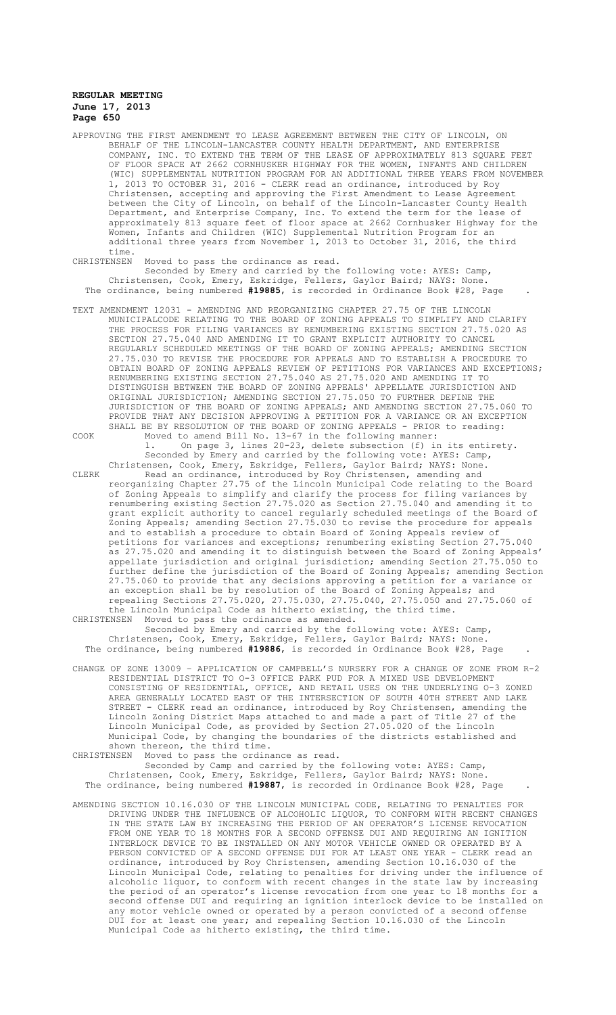APPROVING THE FIRST AMENDMENT TO LEASE AGREEMENT BETWEEN THE CITY OF LINCOLN, BEHALF OF THE LINCOLN-LANCASTER COUNTY HEALTH DEPARTMENT, AND ENTERPRISE COMPANY, INC. TO EXTEND THE TERM OF THE LEASE OF APPROXIMATELY 813 SQUARE FEET OF FLOOR SPACE AT 2662 CORNHUSKER HIGHWAY FOR THE WOMEN, INFANTS AND CHILDREN (WIC) SUPPLEMENTAL NUTRITION PROGRAM FOR AN ADDITIONAL THREE YEARS FROM NOVEMBER 1, 2013 TO OCTOBER 31, 2016 - CLERK read an ordinance, introduced by Roy Christensen, accepting and approving the First Amendment to Lease Agreement between the City of Lincoln, on behalf of the Lincoln-Lancaster County Health Department, and Enterprise Company, Inc. To extend the term for the lease of approximately 813 square feet of floor space at 2662 Cornhusker Highway for the Women, Infants and Children (WIC) Supplemental Nutrition Program for an additional three years from November  $1$ , 2013 to October 31, 2016, the third time.<br>CHRISTENSEN

## Moved to pass the ordinance as read.

Seconded by Emery and carried by the following vote: AYES: Camp, Christensen, Cook, Emery, Eskridge, Fellers, Gaylor Baird; NAYS: None. The ordinance, being numbered **#19885**, is recorded in Ordinance Book #28, Page .

TEXT AMENDMENT 12031 - AMENDING AND REORGANIZING CHAPTER 27.75 OF THE LINCOLN MUNICIPALCODE RELATING TO THE BOARD OF ZONING APPEALS TO SIMPLIFY AND CLARIFY THE PROCESS FOR FILING VARIANCES BY RENUMBERING EXISTING SECTION 27.75.020 AS SECTION 27.75.040 AND AMENDING IT TO GRANT EXPLICIT AUTHORITY TO CANCEL REGULARLY SCHEDULED MEETINGS OF THE BOARD OF ZONING APPEALS; AMENDING SECTION 27.75.030 TO REVISE THE PROCEDURE FOR APPEALS AND TO ESTABLISH A PROCEDURE TO OBTAIN BOARD OF ZONING APPEALS REVIEW OF PETITIONS FOR VARIANCES AND EXCEPTIONS; RENUMBERING EXISTING SECTION 27.75.040 AS 27.75.020 AND AMENDING IT TO DISTINGUISH BETWEEN THE BOARD OF ZONING APPEALS' APPELLATE JURISDICTION AND ORIGINAL JURISDICTION; AMENDING SECTION 27.75.050 TO FURTHER DEFINE THE JURISDICTION OF THE BOARD OF ZONING APPEALS; AND AMENDING SECTION 27.75.060 TO PROVIDE THAT ANY DECISION APPROVING A PETITION FOR A VARIANCE OR AN EXCEPTION SHALL BE BY RESOLUTION OF THE BOARD OF ZONING APPEALS - PRIOR to reading:

COOK Moved to amend Bill No. 13-67 in the following manner: 1. On page 3, lines 20-23, delete subsection (f) in its entirety. Seconded by Emery and carried by the following vote: AYES: Camp,

Christensen, Cook, Emery, Eskridge, Fellers, Gaylor Baird; NAYS: None. CLERK Read an ordinance, introduced by Roy Christensen, amending and reorganizing Chapter 27.75 of the Lincoln Municipal Code relating to the Board of Zoning Appeals to simplify and clarify the process for filing variances by renumbering existing Section 27.75.020 as Section 27.75.040 and amending it to grant explicit authority to cancel regularly scheduled meetings of the Board of Zoning Appeals; amending Section 27.75.030 to revise the procedure for appeals and to establish a procedure to obtain Board of Zoning Appeals review of petitions for variances and exceptions; renumbering existing Section 27.75.040 as 27.75.020 and amending it to distinguish between the Board of Zoning Appeals' appellate jurisdiction and original jurisdiction; amending Section 27.75.050 to further define the jurisdiction of the Board of Zoning Appeals; amending Section 27.75.060 to provide that any decisions approving a petition for a variance or an exception shall be by resolution of the Board of Zoning Appeals; and repealing Sections 27.75.020, 27.75.030, 27.75.040, 27.75.050 and 27.75.060 of the Lincoln Municipal Code as hitherto existing, the third time. CHRISTENSEN Moved to pass the ordinance as amended.

Seconded by Emery and carried by the following vote: AYES: Camp, Christensen, Cook, Emery, Eskridge, Fellers, Gaylor Baird; NAYS: None. The ordinance, being numbered **#19886**, is recorded in Ordinance Book #28, Page .

CHANGE OF ZONE 13009 – APPLICATION OF CAMPBELL'S NURSERY FOR A CHANGE OF ZONE FROM R-2 RESIDENTIAL DISTRICT TO O-3 OFFICE PARK PUD FOR A MIXED USE DEVELOPMENT CONSISTING OF RESIDENTIAL, OFFICE, AND RETAIL USES ON THE UNDERLYING O-3 ZONED AREA GENERALLY LOCATED EAST OF THE INTERSECTION OF SOUTH 40TH STREET AND LAKE STREET - CLERK read an ordinance, introduced by Roy Christensen, amending the Lincoln Zoning District Maps attached to and made a part of Title 27 of the Lincoln Municipal Code, as provided by Section 27.05.020 of the Lincoln Municipal Code, by changing the boundaries of the districts established and shown thereon, the third time.

CHRISTENSEN Moved to pass the ordinance as read. Seconded by Camp and carried by the following vote: AYES: Camp, Christensen, Cook, Emery, Eskridge, Fellers, Gaylor Baird; NAYS: None. The ordinance, being numbered **#19887**, is recorded in Ordinance Book #28, Page .

AMENDING SECTION 10.16.030 OF THE LINCOLN MUNICIPAL CODE, RELATING TO PENALTIES FOR DRIVING UNDER THE INFLUENCE OF ALCOHOLIC LIQUOR, TO CONFORM WITH RECENT CHANGES IN THE STATE LAW BY INCREASING THE PERIOD OF AN OPERATOR'S LICENSE REVOCATION FROM ONE YEAR TO 18 MONTHS FOR A SECOND OFFENSE DUI AND REQUIRING AN IGNITION INTERLOCK DEVICE TO BE INSTALLED ON ANY MOTOR VEHICLE OWNED OR OPERATED BY A PERSON CONVICTED OF A SECOND OFFENSE DUI FOR AT LEAST ONE YEAR - CLERK read an ordinance, introduced by Roy Christensen, amending Section 10.16.030 of the Lincoln Municipal Code, relating to penalties for driving under the influence of alcoholic liquor, to conform with recent changes in the state law by increasing the period of an operator's license revocation from one year to 18 months for a second offense DUI and requiring an ignition interlock device to be installed on any motor vehicle owned or operated by a person convicted of a second offense DUI for at least one year; and repealing Section 10.16.030 of the Lincoln Municipal Code as hitherto existing, the third time.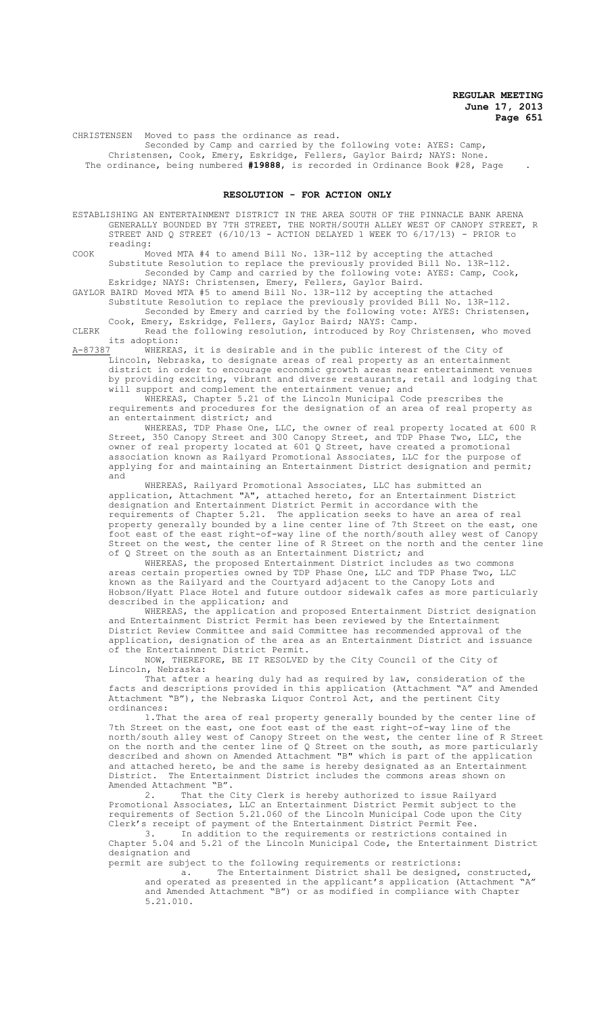CHRISTENSEN Moved to pass the ordinance as read.

Seconded by Camp and carried by the following vote: AYES: Camp, Christensen, Cook, Emery, Eskridge, Fellers, Gaylor Baird; NAYS: None. The ordinance, being numbered **#19888**, is recorded in Ordinance Book #28, Page .

#### **RESOLUTION - FOR ACTION ONLY**

- ESTABLISHING AN ENTERTAINMENT DISTRICT IN THE AREA SOUTH OF THE PINNACLE BANK ARENA GENERALLY BOUNDED BY 7TH STREET, THE NORTH/SOUTH ALLEY WEST OF CANOPY STREET, R STREET AND Q STREET (6/10/13 - ACTION DELAYED 1 WEEK TO 6/17/13) - PRIOR to reading:
- COOK Moved MTA #4 to amend Bill No. 13R-112 by accepting the attached Substitute Resolution to replace the previously provided Bill No. 13R-112. Seconded by Camp and carried by the following vote: AYES: Camp, Cook,

Eskridge; NAYS: Christensen, Emery, Fellers, Gaylor Baird. GAYLOR BAIRD Moved MTA #5 to amend Bill No. 13R-112 by accepting the attached Substitute Resolution to replace the previously provided Bill No. 13R-112.

Seconded by Emery and carried by the following vote: AYES: Christensen, Cook, Emery, Eskridge, Fellers, Gaylor Baird; NAYS: Camp. CLERK Read the following resolution, introduced by Roy Christensen, who moved

its adoption:<br><u>A-87387</u> WHEREAS

WHEREAS, it is desirable and in the public interest of the City of Lincoln, Nebraska, to designate areas of real property as an entertainment

district in order to encourage economic growth areas near entertainment venues by providing exciting, vibrant and diverse restaurants, retail and lodging that will support and complement the entertainment venue; and

WHEREAS, Chapter 5.21 of the Lincoln Municipal Code prescribes the requirements and procedures for the designation of an area of real property as an entertainment district; and

WHEREAS, TDP Phase One, LLC, the owner of real property located at 600 R Street, 350 Canopy Street and 300 Canopy Street, and TDP Phase Two, LLC, the owner of real property located at 601 Q Street, have created a promotional association known as Railyard Promotional Associates, LLC for the purpose of applying for and maintaining an Entertainment District designation and permit; and

WHEREAS, Railyard Promotional Associates, LLC has submitted an application, Attachment "A", attached hereto, for an Entertainment District designation and Entertainment District Permit in accordance with the requirements of Chapter 5.21. The application seeks to have an area of real property generally bounded by a line center line of 7th Street on the east, one foot east of the east right-of-way line of the north/south alley west of Canopy Street on the west, the center line of R Street on the north and the center line of Q Street on the south as an Entertainment District; and

WHEREAS, the proposed Entertainment District includes as two commons areas certain properties owned by TDP Phase One, LLC and TDP Phase Two, LLC known as the Railyard and the Courtyard adjacent to the Canopy Lots and Hobson/Hyatt Place Hotel and future outdoor sidewalk cafes as more particularly described in the application; and

WHEREAS, the application and proposed Entertainment District designation and Entertainment District Permit has been reviewed by the Entertainment District Review Committee and said Committee has recommended approval of the application, designation of the area as an Entertainment District and issuance of the Entertainment District Permit.

NOW, THEREFORE, BE IT RESOLVED by the City Council of the City of Lincoln, Nebraska:

That after a hearing duly had as required by law, consideration of the facts and descriptions provided in this application (Attachment "A" and Amended Attachment "B"), the Nebraska Liquor Control Act, and the pertinent City ordinances:

1.That the area of real property generally bounded by the center line of 7th Street on the east, one foot east of the east right-of-way line of the north/south alley west of Canopy Street on the west, the center line of R Street on the north and the center line of Q Street on the south, as more particularly described and shown on Amended Attachment "B" which is part of the application and attached hereto, be and the same is hereby designated as an Entertainment District. The Entertainment District includes the commons areas shown on Amended Attachment "B".

2. That the City Clerk is hereby authorized to issue Railyard Promotional Associates, LLC an Entertainment District Permit subject to the requirements of Section 5.21.060 of the Lincoln Municipal Code upon the City Clerk's receipt of payment of the Entertainment District Permit Fee.

3. In addition to the requirements or restrictions contained in Chapter 5.04 and 5.21 of the Lincoln Municipal Code, the Entertainment District designation and

permit are subject to the following requirements or restrictions:

a. The Entertainment District shall be designed, constructed, and operated as presented in the applicant's application (Attachment "A" and Amended Attachment "B") or as modified in compliance with Chapter 5.21.010.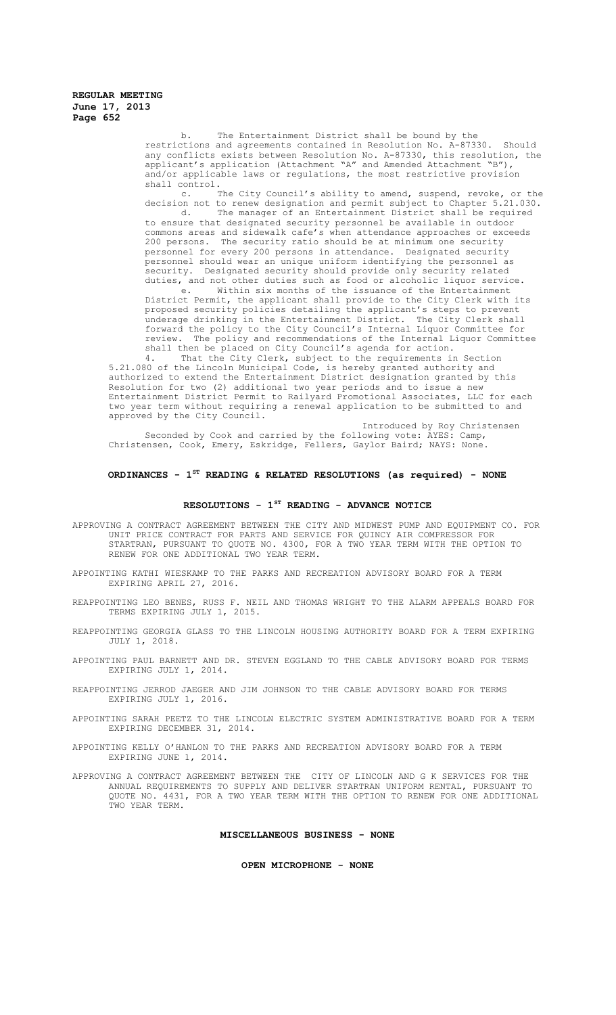> The Entertainment District shall be bound by the restrictions and agreements contained in Resolution No. A-87330. Should any conflicts exists between Resolution No. A-87330, this resolution, the applicant's application (Attachment "A" and Amended Attachment "B"), and/or applicable laws or regulations, the most restrictive provision shall control.

> c. The City Council's ability to amend, suspend, revoke, or the decision not to renew designation and permit subject to Chapter 5.21.030.<br>d. The manager of an Entertainment District shall be required The manager of an Entertainment District shall be required

to ensure that designated security personnel be available in outdoor commons areas and sidewalk cafe's when attendance approaches or exceeds 200 persons. The security ratio should be at minimum one security personnel for every 200 persons in attendance. Designated security personnel should wear an unique uniform identifying the personnel as security. Designated security should provide only security related duties, and not other duties such as food or alcoholic liquor service.

e. Within six months of the issuance of the Entertainment District Permit, the applicant shall provide to the City Clerk with its proposed security policies detailing the applicant's steps to prevent underage drinking in the Entertainment District. The City Clerk shall forward the policy to the City Council's Internal Liquor Committee for review. The policy and recommendations of the Internal Liquor Committee shall then be placed on City Council's agenda for action.

4. That the City Clerk, subject to the requirements in Section 5.21.080 of the Lincoln Municipal Code, is hereby granted authority and authorized to extend the Entertainment District designation granted by this Resolution for two (2) additional two year periods and to issue a new Entertainment District Permit to Railyard Promotional Associates, LLC for each two year term without requiring a renewal application to be submitted to and approved by the City Council.

Introduced by Roy Christensen Seconded by Cook and carried by the following vote: AYES: Camp, Christensen, Cook, Emery, Eskridge, Fellers, Gaylor Baird; NAYS: None.

# **ORDINANCES - 1ST READING & RELATED RESOLUTIONS (as required) - NONE**

# **RESOLUTIONS - 1ST READING - ADVANCE NOTICE**

APPROVING A CONTRACT AGREEMENT BETWEEN THE CITY AND MIDWEST PUMP AND EQUIPMENT CO. FOR UNIT PRICE CONTRACT FOR PARTS AND SERVICE FOR QUINCY AIR COMPRESSOR FOR STARTRAN, PURSUANT TO QUOTE NO. 4300, FOR A TWO YEAR TERM WITH THE OPTION TO RENEW FOR ONE ADDITIONAL TWO YEAR TERM.

APPOINTING KATHI WIESKAMP TO THE PARKS AND RECREATION ADVISORY BOARD FOR A TERM EXPIRING APRIL 27, 2016.

REAPPOINTING LEO BENES, RUSS F. NEIL AND THOMAS WRIGHT TO THE ALARM APPEALS BOARD FOR TERMS EXPIRING JULY 1, 2015.

REAPPOINTING GEORGIA GLASS TO THE LINCOLN HOUSING AUTHORITY BOARD FOR A TERM EXPIRING JULY 1, 2018.

APPOINTING PAUL BARNETT AND DR. STEVEN EGGLAND TO THE CABLE ADVISORY BOARD FOR TERMS EXPIRING JULY 1, 2014.

REAPPOINTING JERROD JAEGER AND JIM JOHNSON TO THE CABLE ADVISORY BOARD FOR TERMS EXPIRING JULY 1, 2016.

APPOINTING SARAH PEETZ TO THE LINCOLN ELECTRIC SYSTEM ADMINISTRATIVE BOARD FOR A TERM EXPIRING DECEMBER 31, 2014.

APPOINTING KELLY O'HANLON TO THE PARKS AND RECREATION ADVISORY BOARD FOR A TERM EXPIRING JUNE 1, 2014.

APPROVING A CONTRACT AGREEMENT BETWEEN THE CITY OF LINCOLN AND G K SERVICES FOR THE ANNUAL REQUIREMENTS TO SUPPLY AND DELIVER STARTRAN UNIFORM RENTAL, PURSUANT TO QUOTE NO. 4431, FOR A TWO YEAR TERM WITH THE OPTION TO RENEW FOR ONE ADDITIONAL TWO YEAR TERM.

# **MISCELLANEOUS BUSINESS - NONE**

**OPEN MICROPHONE - NONE**